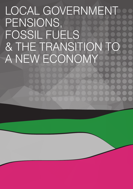# LOCAL GOVERNMENT PENSIONS, FOSSIL FUELS & THE TRANSITION TO A NEW ECONOMY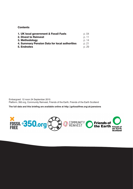## **Contents**

| 1. UK local government & Fossil Fuels         | p. 04 |
|-----------------------------------------------|-------|
| 2. Divest to Reinvest                         | p. 11 |
| 3. Methodology                                | p. 14 |
| 4. Summary Pension Data for local authorities | p. 21 |
| <b>5. Endnotes</b>                            | p. 29 |

Embargoed: 12 noon 24 September 2015 Platform, 350.org, Community Reinvest, Friends of the Earth, Friends of the Earth Scotland

**The full data and this briefing are available online at <http://gofossilfree.org/uk/pensions>**

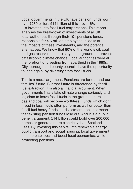Local governments in the UK have pension funds worth over £230 billion. £14 billion of this – over 6% – is invested into fossil fuel corporations. This report analyses the breakdown of investments of all UK local authorities through their 101 pensions funds, responsible for 4.6 million employees. It looks at the impacts of these investments, and the potential alternatives. We know that 80% of the world's oil, coal and gas reserves need to stay in the ground, to prevent catastrophic climate change. Local authorities were at the forefront of divesting from apartheid in the 1980s. City, borough and county councils have the opportunity to lead again, by divesting from fossil fuels.

This is a moral argument. Pensions are for our and our families' future. But that future is threatened by fossil fuel extraction. It is also a financial argument. When governments finally take climate change seriously and legislate to leave fossil fuels in the ground, shares in oil, gas and coal will become worthless. Funds which don't invest in fossil fuels often perform as well or better than fossil-fuel heavy funds, so divestment does not mean that existing pension funds lose out. And it is a public benefit argument. £14 billion could build over 200,000 homes or generate more electricity than Scotland uses. By investing this capital into renewable energy, public transport and social housing, local government could create jobs and boost local economies, while protecting pensions.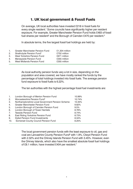# 1. UK local government & Fossil Fuels

On average, UK local authorities have invested £218 in fossil fuels for every single resident.<sup>1</sup> Some councils have significantly higher per resident exposure. For example, Greater Manchester Pension Fund holds £483 of fossil fuel shares per resident<sup>2</sup> and the Borough of Camden £470 per resident.<sup>3</sup>

In absolute terms, the five largest fossil fuel holdings are held by:

1. Greater Manchester Pension Fund £1,304 million 2. Strathclyde Pension Fund<sup>4</sup> £752 million 3. West Yorkshire Pension Fund £671 million 4. Merseyside Pension Fund 1995 million<br>5. West Midlands Pension Fund 1995 million 5. West Midlands Pension Fund

> As local authority pension funds vary a lot in size, depending on the population and area covered, we have mostly ranked the funds by the percentage of total holdings invested into fossil fuels. The average pension fund exposure to fossil fuels is 6.22%.

The ten authorities with the highest percentage fossil fuel investments are:

| London Borough of Merton Pension Fund            | 10.99% |
|--------------------------------------------------|--------|
| Worcestershire Pension Fund <sup>5</sup>         | 10.74% |
| Northamptonshire Local Government Pension Scheme | 10.35% |
| Greater Manchester Pension Fund                  | 9.82%  |
| London Borough of Camden Pension Fund            | 9.5%   |
| London Borough of Tower Hamlets                  | 8.76%  |
| <b>Teeside Pension Fund</b>                      | 8.74%  |
| East Riding Yorkshire Pension Fund               | 8.73%  |
| Dyfed Pension Fund Investments                   | 8.34%  |
| Somerset County Council Pension Fund             | 8.25%  |
|                                                  |        |

The local government pension funds with the least exposure to oil, gas and coal are Lancashire County Pension Fund<sup>6</sup> with 1.9%, Clwyd Pension Fund with 2.32% and the Orkney Islands Pension Fund with 3.45%. However, even the Orkney Islands, which also have the smallest absolute fossil fuel holdings of £8.1 million, have invested £404 per resident.<sup>7</sup>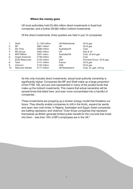### Where the money goes

UK local authorities hold £5,464 million direct investments in fossil fuel companies, and a further £8,562 million indirect investments.

Of the direct investments, three quarters are held in just 10 companies:

| 1.  | Shell                | $£1,156$ million | UK/Netherlands | Oil & gas                 |
|-----|----------------------|------------------|----------------|---------------------------|
| 2.  | BP                   | £881 million     | UK             | Oil & gas                 |
| 3.  | Rio Tinto            | £586 million     | Australia/UK   | Coal                      |
| 4.  | <b>BG</b> Group      | £362 million     | UK             | Gas & oil                 |
| 5.  | <b>BHP Billiton</b>  | £337 milion      | Australia/UK   | Coal, oil and gas         |
| 6.  | Anglo American       | £158 million     | UK             | Coal                      |
| 7.  | <b>EOG Resources</b> | £143 million     | <b>USA</b>     | Formerly Enron. Oil & gas |
| 8.  | Total                | £141 million     | France         | Oil & gas                 |
| 9.  | Chevron              | £122 million     | <b>USA</b>     | Oil & gas                 |
| 10. | Glencore Xstrata     | £117 million     | UK/Switzerland | Coal, oil, gas, mining    |

As this only includes direct investments, actual local authority ownership is significantly higher. Companies like BP and Shell make up a large proportion of the FTSE 100, and are over-represented in many of the pooled funds that make up the indirect investments. This means that actual ownership will be several times that listed here, and even more concentrated into a handful of companies.

These investments are propping up a broken energy model that threatens our future. They directly enable companies to drill in the Arctic, expand tar sands and open new coal mines. In Nigeria, Azerbaijan and Egypt, these companies are fuelling repression and violence.<sup>8</sup> Even those companies that represent themselves as British generate limited public benefit for the councils that invest into them – less than 18% of BP's employees are in the UK.9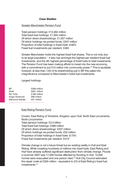## Case Studies

## Greater Manchester Pension Fund

Total pension holdings: £13,284 million Total fossil fuel holdings: £1,304 million Of which direct shareholdings: £1,057 million Of which holdings via pooled funds: £247 million Proportion of total holdings in fossil fuels: 9.82% Fossil fuel investments per resident: £483

Greater Manchester holds the highest fossil fuel shares. This is not only due to its large population – it also has amongst the highest per resident fossil fuel investments, and the 4th highest percentage of fossil fuels to total investments. The Pension Fund has been making efforts to invest into the new economy, with a commitment to put £10 million into community power.<sup>10</sup> This is laudable; however, at less than 1/25 of its shareholding just in BP, this pales into insignificance compared to Manchester's fossil fuel investments.

Largest holdings:

| RP.              | £269 million |
|------------------|--------------|
| Shell            | £261 million |
| Rio Tinto        | £168 million |
| Anglo American   | £66 million  |
| Glencore Xstrata | £57 million  |

### East Riding Pension Fund

Covers: East Riding of Yorkshire, Kingston upon Hull, North East Lincolnshire, North Lincolnshire Total pension holdings: £3.3 billion Total fossil fuel holdings: £289 million Of which direct shareholdings: £237 million Of which holdings via pooled funds: £52 million Proportion of total holdings in fossil fuels: 8.73% Fossil fuel investments per resident: £31411

Climate change is not a future threat but an existing reality in Hull and East Riding. While investing hundreds of millions into fossil fuels, East Riding and Hull have already suffered significant destruction from climate change. Floods in summer 2007 saw 17,000 homes affected by flooding in Hull. 10,000 homes were evacuated and one person died.<sup>12</sup> Hull City Council estimated the repair costs at £200 million - equivalent to 2/3 of East Riding's fossil fuel investments.13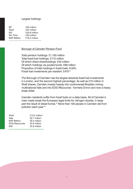## Largest holdings:

| £55 million   |
|---------------|
| £44 million   |
| £30.8 million |
| £30 million   |
| £18.4 million |
|               |

#### Borough of Camden Pension Fund

Total pension holdings: £1,163 million Total fossil fuel holdings: £110 million Of which direct shareholdings: £42 million Of which holdings via pooled funds: £69 million Proportion of total holdings in fossil fuels: 9.50% Fossil fuel investments per resident: £47014

The Borough of Camden has the largest absolute fossil fuel investments in London, and the second highest percentage. As well as £10 million in Shell shares, Camden invests heavily into controversial Brazilian mining multinational Vale and into EOG REsources - formerly Enron and now a heavy shale driller.

Camden residents suffer from fossil fuels on a daily basis. All of Camden's main roads break the European legal limits for nitrogen dioxide, in large part the result of diesel fumes.<sup>15</sup> More than 100 people in Camden die from pollution each year.16

| Shell                | £10.2 million |
|----------------------|---------------|
| Vale                 | £6.7 million  |
| <b>BHP Billiton</b>  | £6.4 million  |
| <b>EOG Resources</b> | £5.9 million  |
| ENI                  | £5.6 million  |
|                      |               |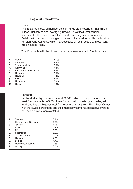## Regional Breakdowns

#### London

The 33 London local authorities' pension funds are investing £1,882 million in fossil fuel companies, averaging just over 6% of their total pension investments. The councils with the lowest percentage are Newham and Enfield, with 4%. London's largest local authority pension fund is the London Pension Fund Authority, which manages £4.9 billion in assets with over £233 million in fossil fuels.

The 10 councils with the highest percentage investments in fossil fuels are:

| 1.             | Merton                 | 11.0% |
|----------------|------------------------|-------|
| 2.             | Camden                 | 9.5%  |
| 3.             | <b>Tower Hamlets</b>   | 8.8%  |
| 4.             | Westminster            | 7.8%  |
| 5.             | Kensington and Chelsea | 7.4%  |
| 6.             | Haringey               | 7.3%  |
| 7 <sub>1</sub> | Havering               | 7.3%  |
| 8.             | Ealing                 | 7.0%  |
| 9.             | Hounslow               | 6.8%  |
| 10.            | Harrow                 | 6.8%  |
|                |                        |       |

## **Scotland**

Scotland's local governments invest £1,665 million of their pension funds in fossil fuel companies – 5.2% of total funds. Strathclyde is by far the largest fund, and has the biggest fossil fuel investments, at £751 million. Even Orkney, with the lowest percentage and the smallest investments, has above average per resident investments of £404.

| 1.  | Shetland                | 8.1% |
|-----|-------------------------|------|
| 2.  | Dumfries and Galloway   | 7.9% |
| 3.  | Tayside                 | 7.2% |
| 4.  | Falkirk                 | 5.9% |
| 5.  | Fife                    | 5.2% |
| 6.  | Strathclyde             | 5.0% |
| 7.  | <b>Scottish Borders</b> | 5.0% |
| 8.  | Highland                | 4.8% |
| 9.  | Lothian                 | 4.7% |
| 10. | North East Scotland     | 4.3% |
| 11. | Orkney                  | 3.5% |
|     |                         |      |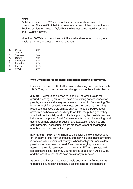## **Wales**

Welsh councils invest £739 million of their pension funds in fossil fuel companies. That's 6.6% of their total investments, and higher than in Scotland, England or Northern Ireland. Dyfed has the highest percentage investment, and Clwyd the lowest.

More than 50 Welsh communities look likely to be abandoned to rising sea levels as part of a process of 'managed retreat'.17

- 1. Dyfed 8.3%
- 2. Torfaen 7.8%
- 3. Swansea 7.4%
- 4. Cardiff 7.3% 5. Gwynedd 6.3%
- 6. Rhondda 5.7%
- 7. Powys 5.1%
- 8. Clywd 2.3%
- 

## Why Divest: moral, financial and public benefit arguments?

Local authorities in the UK led the way on divesting from apartheid in the 1980s. They can do so again to challenge catastrophic climate change.

**a. Moral –** Without bold action to keep 80% of fossil fuels in the ground, a changing climate will have devastating consequences for people, societies and ecosystems around the world. By investing £14 billion in fossil fuel extraction, our local governments are providing resources that accelerate climate change. As public bodies, local governments have a responsibility to work for the public good; they shouldn't be financially and politically supporting the most destructive industry on the planet. Fossil fuel investments undermine existing local authority climate change mitigation and adaptation strategies and commitments. Local councils were are the forefront of challenging apartheid, and can take a lead again

**b. Financial –** Making 4.6 million public sector pensions dependent on longterm profits from an industry threatening a safe planetary future is not a sensible investment strategy. When local governments allow pensions to be exposed to fossil fuels, they're relying on stranded assets for the safe retirement of their workers.18 When a 30-year-old speech therapist at Hackney Council retires at age 60, it will be 2045, and the fossil fuel industry's days are already numbered.

As continued investments in fossil fuels pose material financial risks to portfolios, funds have fiduciary duties to consider the benefits of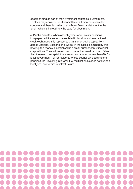decarbonising as part of their investment strategies. Furthermore, Trustees may consider non-financial factors if members share the concern and there is no risk of significant financial detriment to the fund – which is increasingly the case for divestment.

**c. Public Benefit –** When a local government invests pensions into paper certificates for shares listed in London and international stock exchanges, this represents a transfer of public capital from across England, Scotland and Wales. In the cases examined by this briefing, this money is centralised in a small number of multinational corporations. They in turn re-invest most of that wealth abroad. Other than the return on capital, there are no social or economic benefits for local government – or for residents whose council tax goes into the pension fund. Investing into fossil fuel multinationals does not support local jobs, economies or infrastructure.

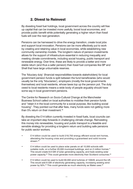# 2. Divest to Reinvest

By divesting fossil fuel holdings, local government across the country will free up capital that can be invested more usefully, boost local economies, and provide public benefit while potentially generating a higher return than fossil fuels will over the next generation.

Pensions can be harnessed to drive the energy transition, create local jobs and support local innovation. Pensions can be more effectively put to work by creating and retaining value in local economies, while establishing new community ownership models. The longterm nature of pension investments allows for the support of infrastructure essential in reducing inequality and meeting climate commitments, including social housing, public transport and renewable energy. Over time, these are likely to provide a better and more stable return (and thus a safer pension) than fossil fuel companies like BP and Shell that have large unburnable reserves.

The 'fiduciary duty' (financial responsibilities towards stakeholders) for local government pension funds is split between the fund beneficiaries (who would usually be the only 'fiduciaries'), employers (mostly the local governments themselves) and local residents, whose taxes top up the pension pot. The duty owed to local residents means a wide body of people arguably should have some say in local government pensions.

The Centre for Research on Socio-Cultural Change at the Manchester Business School called on local authorities to mobilise their pension funds and "retain it in the local community for a social purpose, like building social housing". They pointed out that after fees, many funds were not getting more than 5% return on their investment.19

By divesting the £14 billion currently invested in fossil fuels, local councils can take an important step forwards in challenging climate change. Reinvesting this money into renewables, housing and public transport is a feasible and sensible strategy for providing a longterm return and building safe pensions for public sector workers.

- **E14 billion could be used to build 218,750 energy efficient social rent homes,** alleviating the housing crisis and providing a guaranteed and solid income stream.<sup>20</sup>
- £14 billion could be used to place solar panels on all 10,000 schools with suitable roofs, on a further 20,000 municipal buildings, and on 2 million homes.<sup>21</sup> This would create 8.9 GW of solar generating capacity, and triple existing solar power capacity.<sup>22</sup> This could generate more electricity than Scotland consumes.<sup>23</sup>
- £14 billion could be used to build 60,000 wind turbines of 100kW, around the UK. This would add 6 GW of electricity generating capacity, increasing existing wind power by 50%.<sup>24</sup> This could generate as much electricity as Wales uses.<sup>25</sup>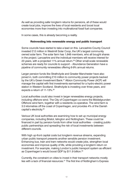As well as providing safer longterm returns for pensions, all of these would create local jobs, improve the lives of local residents and boost local economies more than investing into multinational fossil fuel companies.

In some cases, this is already becoming a reality.

## Reinvesting into renewable energy and public transport

Some councils have started to take a lead on this. Lancashire County Council invested £12 million in Westmill Solar Coop, the UK's largest community owned solar farm. The solar farm has 1,648 members, who all bought shares in the project. Lancashire and the individual members will receive interest for 23 years, with a projected 11% annual return.<sup>26</sup> Other small-scale renewable schemes are ready for councils to support – Abundance Generation have a pipeline of community renewables offering 6-9% annual returns.

Larger pension funds like Strathclyde and Greater Manchester have also joined in, both committing £10 million to community power projects backed by the UK's Green Investment Bank.<sup>27</sup> Albion Community Power (ACP) will manage the capital with first investments earmarked for a hydro-electric power station in Western Scotland. Strathclyde is investing over three years, and expects a return of 11-13%.<sup>28</sup>

Local authorities could also invest in larger renewables energy projects, including offshore wind. The City of Copenhagen co-owns the Middelgrunden Offshore wind farm, together with a residents co-operative. The wind farm is 3.5 kilometres off the coast of Copenhagen, and provides 4% of the Danish capital's electricity.29

Various UK local authorities are examining how to set up municipal energy companies, including Bristol, Islington and Nottingham. These could be financed in part by pension funds from other local authorities – creating publicpublic partnerships and spreading the risk of local investments between different councils.

With high up-front capital costs but longterm revenue streams, expanding urban public transport presents another sensible pension investment. Enhancing bus, train and tram networks would create jobs, strengthen local economies and improve quality of life, while providing a longterm return on investment. For example, making London's public transport system as efficient as Copenhagen's would boost GDP by \$11.9 billion.<sup>30</sup>

Currently, the constraint on cities to invest in their transport networks mostly lies with a lack of financial resources.31 The first line of Nottingham's Express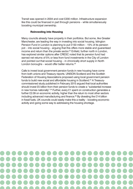Transit was opened in 2004 and cost £200 million. Infrastructure expansion like this could be financed in part through pensions – while simultaneously boosting municipal ownership.

## Reinvesting into Housing

Many councils already have property in their portfolios. But some, like Greater Manchester, are leading the way in investing into social housing. Islington Pension Fund in London is planning to put £150 million – 15% of its pension pot – into social housing – arguing that this offers more stable and guaranteed income and return than the private sector.<sup>32</sup> Enfield, further north in London, has explored similar options after CRESC noted that its pension fund had earned net returns of 5% or less from fund investments in the City of London and pointed out that social housing – in chronically short supply in North London boroughs – would offer better returns. $33$ 

Calls to invest local government pension funds in new housing have come from both unions and Treasury reports. UNISON Scotland and the Scottish Federation of Housing Associations proposed using local government pension funds to build new social and affordable housing in Scotland.<sup>34</sup> A Treasurycommissioned study published in February 2015 argued that local authorities should invest £5 billion from their pension funds to create a "substantial increase in new homes nationally".<sup>35</sup> Further, every £1 spent on construction generates a further £2.09 on economic activity, higher than the return to most other sectors including advanced manufacturing and finance.<sup>36</sup> By divesting the £14 billion in fossil fuels, UK councils could easily make this a reality – boosting economic activity and going some way to addressing the housing shortage.

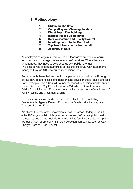# 3. Methodology

- 1. Obtaining The Data
- 2. Completing and Cleaning the data
- 3. Direct Fossil Fuel holdings
- 4. Indirect Fossil Fuel holdings
- 5. Data Verification and Quality Control
- 6. Inputting data into the Data tool
- 7. Top Fossil Fuel companies overall
- 8. Accuracy of Data

As employers of large numbers of people, local governments are required to put aside and manage money for workers' pensions. Where these are underfunded, they need to be topped up with public revenues. This data covers all local authorities across the entire UK, with investments managed through 101 local authority pension funds.

Some councils have their own individual pensions funds – like the Borough of Hackney. In other cases, one pension fund covers multiple local authorities. So for example Oxford Council Council manages the pension fund for smaller bodies like Oxford City Council and West Oxfordshire District Council, while Falkirk Council Pension Fund is responsible for the pensions of employees of Falkirk, Stirling and Clackmannanshire.

Our data covers some funds that are not local authorities, including the Environmental Agency Pension Fund and the South Yorkshire Integrated Transport Pension Fund.

We filtered the data set for investments into the Carbon Underground 200 – the 100 largest public oil & gas companies and 100 largest public coal companies. We did not include investments into fossil fuel service companies like Halliburton, or smaller FTSE-listed extraction companies, such as Cairn Energy, Premier Oil or Enquest.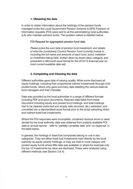## 1. Obtaining the data

In order to obtain information about the holdings of the pension funds managed under the Local Government Pension Scheme (LGPS) Freedom of Information requests (FOI) were sent to all the administering local authorities (LA) who maintain pension funds. The question asked is detailed below:

## FOI Request for aggregated pension fund data

*Please prove the sum total of pension fund investment, and details of what the (combined) Council Pension Fund currently invests in, including the full name and amounts of each fund, bond, institution or investment being held, broken down by asset class/ category, and presented in Microsoft excel format for the 2014/15 financial year (or most current available data set).*

# 2. Completing and Cleaning the data

Different authorities gave data of varying quality. While some disclosed all equity holdings, including their proportional indirect investments through Unit/ pooled funds, others only gave summary data detailing the various external fund managers and their mandate.

Data was provided by the local authorities in a range of different formats including PDF and word documents. Relevant data fields from these document including equity and pooled fund holdings, and total holdings had to be cleaned (extra text and empty cells removed, etc.) extracted, and converted into a standardised excel format prior to the script extracting direct and indirect fossil fuel investments.

Where the FOI responses were incomplete, contained obvious errors or were denied by the local authority, data was obtained from publicly available FOI data or annual reports – refer to 'partially complete data' and 'no response' in the table below.

In general, the holdings in fossil fuel companies belong to one in two categories. They are either fossil fuel investments held directly by the local authority as equity (share) holdings, or they are held in more opaque unit/ pooled equity funds where little data was available or where for example only the top 10 investments by value are disclosed. These were analyzed using different methods (see Section 3 & 4).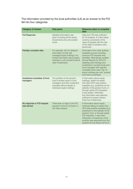The information provided by the local authorities (LA) as an answer to the FOI fell into four categories:

| <b>Category of Answer</b>                | Data given                                                                                                                                                                             | <b>Measures taken to complete</b><br>data                                                                                                                                                                                                                                                                                                                   |
|------------------------------------------|----------------------------------------------------------------------------------------------------------------------------------------------------------------------------------------|-------------------------------------------------------------------------------------------------------------------------------------------------------------------------------------------------------------------------------------------------------------------------------------------------------------------------------------------------------------|
| <b>Full Response</b>                     | Detailed information was<br>given including all the equity<br>investments and unit/ pooled<br>funds                                                                                    | Data from FOI was sufficient<br>for full analysis. In a few cases<br>currency conversion of the<br>value of equities with the rate<br>of the date of valuation were<br>performed.                                                                                                                                                                           |
| Partially complete data                  | For example, the LA released<br>information of their self<br>managed equity holdings, but<br>limited information about equity<br>holdings in unit/ pooled funds &<br>other investments | Information from other publicly<br>available sources including<br>previous FOI requests was<br>identified. Alternatively audited<br>Annual Reports for 2013/14<br>detailing total holdings and<br>investment in pooled funds and<br>fund managers with specific<br>mandates were used. Top 10<br>equity holdings per unit/ pooled<br>fund were scrutinised. |
| Investment mandates of fund<br>managers  | The portfolio of the pension<br>fund is broken down in fund<br>managers and their investment<br>mandate without details of<br>individual equity holdings                               | If information about equity<br>holdings, dated not earlier<br>than April 2013 was publicly<br>available (e.g. published on the<br>website of the pension fund, or<br>through earlier FOI requests),<br>it was added. Otherwise,<br>this information was deemed<br>sufficient to project indirect<br>fossil fuel investments.                                |
| No response or FOI request<br>was denied | There was no reply to the FOI<br>request in time for inclusion in<br>this data analysis                                                                                                | If information about equity<br>holdings dating no earlier than<br>2013 was publicly available (e.g.<br>published on the website of the<br>pension fund, or through earlier<br>FOI requests), it was used.<br>Otherwise a breakdown of the<br>portfolio was extracted from the<br>audited Annual Report 2013/14.                                             |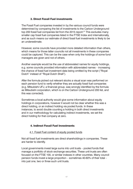# 3. Direct Fossil Fuel investments

The Fossil Fuel companies invested in by the various council funds were determined by comparing the list of investments to the Carbon Underground top 200 fossil fuel companies list from the 2015 report.<sup>37</sup> This excludes many smaller cap fossil fuel companies listed in the FTSE Index and internationally, and as such means our estimate of direct fossil fuel investments is likely to be an underestimate.

However, some councils have provided more detailed information than others, which means for those latter councils not all investments in these companies could be captured. This can be the case when only the holdings of some fund managers are given and not of others.

Another example would be the use of abbreviated names for equity holdings, e.g. some councils provided information with abbreviated names – increasing the chance of fossil fuel investment data being omitted by the script ("Royal Dutch" instead of "Royal Dutch Shell").

After the formula picked out relevant stocks a visual scan was performed on each pension fund to verify whether they are actually fossil fuel companies (e.g. Mitsubishi UFJ, a financial group, was wrongly identified by the formula as Mitsubishi corporation, which is on the Carbon Underground 200 list, and this was corrected).

Sometimes a local authority would give some information about equity holdings in corporations, however it would not be clear whether this was a direct holding, or an indirect holding via pooled funds. In these instances, to avoid double counting a holding in both direct investments and in our methodology for calculating indirect investments, we set the direct holding for that company at zero.

# 4. Indirect Fossil Fuel Investments

# 4.1. Fossil Fuel content of equity pooled funds

Not all fossil fuel investments are direct shareholdings in companies. These are harder to identify.

Local governments invest large sums into unit trusts – pooled funds that manage a portfolio of stock exchange securities. These unit trusts are often focused on the FTSE 100, or similar indexes in other countries. Many council pension funds invest a large proportion – sometimes 40-60% of their total – into just one, two or three such unit trusts.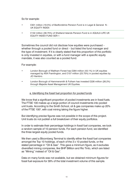So for example:

- £301 million (19.5%) of Bedfordshire Pension Fund is in Legal & General N -UK EQUITY INDEX
- £132 million (39.75%) of Shetland Islands Pension Fund is in AQUILA LIFE UK EQUITY INDEX FUND SER 1

Sometimes the council did not disclose how equities were purchased – whether through a pooled fund or direct – but listed the fund manager and the type of investment. If it is clearly stated that this proportion of the portfolio is only invested in equities, or with a fund manager with a specific equity mandate, it was also counted as a pooled fund.

For example:

- **London Borough of Waltham Forest has £284 million (43.1%) in UK equities** managed by AXA Framlington, and £157 million (23.75%) in pooled equities by JO Hambro.
- London Borough of Hammersmith & Fulham has invested £226 million (26.2%) through Majedie Asset Management UK Equities.

## a. Identifying the fossil fuel proportion for pooled funds

We know that a significant proportion of pooled investments are in fossil fuels. The FTSE 100 makes up a large portion of council investments into pooled unit trusts. According to the Smith School, oil & gas companies make up 20% of the FTSE 100<sup>2</sup>, with coal mining taking the figure higher.

But identifying precise figures was not possible in the scope of this project. Unit trusts do not publish a full breakdown of their equity portfolios.

In order to estimate their percentage holdings in fossil fuel companies, we took a random sample of 10 pension funds. For each pension fund, we identified the three largest equity pooled funds.

We then used a Bloomberg Terminal to identify either the fossil fuel companies amongst the Top 10 holdings, of each of the 3 x 10 pooled funds, or the stated percentage in "Oil & Gas". This gave a minimum figure, as it excludes diversified mining companies, like BHP Billiton and Rio Tinto, which are listed as "Mining" instead of "Oil & Gas".

Data on many funds was not available, but we obtained minimum figures for fossil fuel exposure for 39% of the total investment volume of this sample.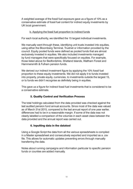A weighted average of the fossil fuel exposure gave us a figure of 10% as a conservative estimate of fossil fuel content for indirect equity investments by UK local government.

## b. Applying the fossil fuel proportion to indirect funds

For each local authority, we identified the 15 largest individual investments.

We manually went through these, identifying unit trusts invested into equities, using either the Bloomberg Terminal, Trustnet or information provided by the council. Equity pooled funds were defined as pooled funds that are almost exclusively invested in equities. We also included investments managed by fund managers that were specifically focused on equities. For example, those listed above for Bedfordshire, Shetland Islands, Waltham Forest and Hammersmith & Fulham pension funds.

We derived our indirect investment figure by applying the 10% fossil fuel proportion to these equity investments. We did not apply it to funds invested into property, private equity, currencies, to investments outside the largest 15, or to funds we didn't recognise as definitely being in equities.

This gave us a figure for indirect fossil fuel investments that is considered to be a conservative estimate.

# 5. Quality Control and Verification Process

The total holdings calculated from the data provided was checked against the last audited pension fund annual accounts. Since most of the data was valued as of March 31st 2015, compared to the last annual report of one year earlier, differences had to be in a reasonable margin. If some of the data was not clearly labelled a comparison of the volumes in each asset class between the data provided and the annual report was carried out.

# 6. Inputting data in the datatool

Using a Google Script the data from all the various spreadsheets is compiled in a Master spreadsheet and consecutively exported and imported as a .csv file. This allows for automatic updates preventing errors through manually transferring the data.

Notes about running campaigns and information particular to specific pension funds or counties are added manually.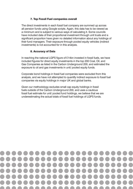# 7. Top Fossil Fuel companies overall

The direct investments in each fossil fuel company are summed up across all pension funds using Google scripts. Again, this data has to be viewed as a minimum and is subject to various ways of calculating it. Some councils have included data of their proportional investment through unit trusts and a significant proportion have given no detailed information about any holdings of their fund managers. Their exposure through pooled equity vehicles (indirect investments) is not accounted for in this analysis.

# 8. Accuracy of Data

In reaching the national LGPS figure of £14bn invested in fossil fuels, we have included figures for direct equity investments in the top 200 Coal, Oil, and Gas Companies as listed in the Carbon Underground 200, and estimated the exposure to oil and gas investments in unit/ pooled equity funds.

Corporate bond holdings in fossil fuel companies were excluded from this analysis, and we have not attempted to quantify indirect exposure to fossil fuel companies via equity holdings in major UK and global banks.

Given our methodology excludes small cap equity holdings in fossil fuels outside of the Carbon Underground 200, and uses a cautious fossil fuel estimate for unit/ pooled fund holdings, we believe that we are underestimating the actual totals of fossil fuel holdings of LGPS funds.

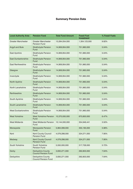# Summary Pension Data

| <b>Local Authority Area</b> | <b>Pension Fund</b>                               | <b>Total Fund Amount</b> | <b>Fossil Fuel</b><br><b>Investment</b> | % Fossil Fuels |
|-----------------------------|---------------------------------------------------|--------------------------|-----------------------------------------|----------------|
| <b>Greater Manchester</b>   | <b>Greater Manchester</b><br><b>Pension Fund</b>  | 13,284,054,000           | 1,304,123,000                           | 9.82%          |
| <b>Argyll and Bute</b>      | <b>Strathclyde Pension</b><br>Fund                | 14,906,954,000           | 751,960,000                             | 5.04%          |
| East Ayrshire               | <b>Strathclyde Pension</b><br>Fund                | 14,906,954,000           | 751,960,000                             | 5.04%          |
| <b>East Dunbartonshire</b>  | <b>Strathclyde Pension</b><br>Fund                | 14,906,954,000           | 751,960,000                             | 5.04%          |
| <b>East Renfrewshire</b>    | <b>Strathclyde Pension</b><br>Fund                | 14,906,954,000           | 751,960,000                             | 5.04%          |
| Glasgow                     | <b>Strathclyde Pension</b><br>Fund                | 14,906,954,000           | 751,960,000                             | 5.04%          |
| Inverclyde                  | Strathclyde Pension<br>Fund                       | 14,906,954,000           | 751,960,000                             | 5.04%          |
| North Ayshire               | <b>Strathclyde Pension</b><br>Fund                | 14,906,954,000           | 751,960,000                             | 5.04%          |
| North Lanarkshire           | <b>Strathclyde Pension</b><br>Fund                | 14,906,954,000           | 751,960,000                             | 5.04%          |
| Renfrewshire                | <b>Strathclyde Pension</b><br>Fund                | 14,906,954,000           | 751,960,000                             | 5.04%          |
| South Ayrshire              | <b>Strathclyde Pension</b><br>Fund                | 14,906,954,000           | 751,960,000                             | 5.04%          |
| South Lanarkshire           | <b>Strathclyde Pension</b><br>Fund                | 14,906,954,000           | 751,960,000                             | 5.04%          |
| <b>West Dunbartonshire</b>  | <b>Strathclyde Pension</b><br>Fund                | 14,906,954,000           | 751,960,000                             | 5.04%          |
| <b>West Yorkshire</b>       | <b>West Yorkshire Pension</b><br>Fund             | 10,370,000,000           | 670,800,000                             | 6.47%          |
| <b>West Midlands</b>        | <b>West Midlands Pension</b><br>Fund              | 10,144,000,000           | 354,946,441                             | 3.50%          |
| Merseyside                  | Merseyside Pension<br>Fund                        | 5,964,099,000            | 355,195,000                             | 5.96%          |
| Kent                        | Kent County Council<br>Pension Fund               | 4,079,298,000            | 324,271,000                             | 7.95%          |
| Medway                      | <b>Kent County Council</b><br><b>Pension Fund</b> | 4,079,298,000            | 324,271,000                             | 7.95%          |
| South Yorkshire             | South Yorkshire<br>Pension Fund                   | 5,550,000,000            | 317,728,000                             | 5.72%          |
| Derby                       | Derbyshire County<br><b>Council Pension Fund</b>  | 3,830,271,000            | 292,803,000                             | 7.64%          |
| Derbyshire                  | Derbyshire County<br><b>Council Pension Fund</b>  | 3,830,271,000            | 292,803,000                             | 7.64%          |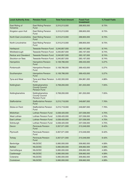| <b>Local Authority Area</b> | <b>Pension Fund</b>                                             | <b>Total Fund Amount</b> | <b>Fossil Fuel</b><br><b>Investment</b> | % Fossil Fuels |
|-----------------------------|-----------------------------------------------------------------|--------------------------|-----------------------------------------|----------------|
| East Riding of<br>Yorkshire | <b>East Riding Pension</b><br>Fund                              | 3,310,213,000            | 288,905,000                             | 8.73%          |
| Kingston upon Hull          | <b>East Riding Pension</b><br>Fund                              | 3,310,213,000            | 288,905,000                             | 8.73%          |
| North East Lincolnshire     | <b>East Riding Pension</b><br>Fund                              | 3,310,213,000            | 288,905,000                             | 8.73%          |
| North Lincolnshire          | <b>East Riding Pension</b><br>Fund                              | 3,310,213,000            | 288,905,000                             | 8.73%          |
| Hartlepool                  | <b>Teesside Pension Fund</b>                                    | 3,240,857,000            | 283, 167, 000                           | 8.74%          |
| Middlesbrough               | <b>Teesside Pension Fund</b>                                    | 3,240,857,000            | 283,167,000                             | 8.74%          |
| <b>Redcar and Cleveland</b> | <b>Teesside Pension Fund</b>                                    | 3,240,857,000            | 283,167,000                             | 8.74%          |
| Stockton-on-Tees            | <b>Teesside Pension Fund</b>                                    | 3,240,857,000            | 283,167,000                             | 8.74%          |
| Hampshire                   | Hampshire Pension<br>Fund                                       | 5,108,786,000            | 269,433,000                             | 5.27%          |
| Portsmouth                  | Hampshire Pension<br>Fund                                       | 5,108,786,000            | 269,433,000                             | 5.27%          |
| Southampton                 | <b>Hampshire Pension</b><br>Fund                                | 5,108,786,000            | 269,433,000                             | 5.27%          |
| Tyne and Wear               | Tyne and Wear Pension<br>Fund                                   | 5,432,300,000            | 264,961,000                             | 4.88%          |
| Nottingham                  | Nottinghamshire<br><b>County Council</b><br><b>Pension Fund</b> | 3,708,200,000            | 261,253,000                             | 7.05%          |
| Nottinghamshire             | Nottinghamshire<br><b>County Council</b><br>Pension Fund        | 3,708,200,000            | 261,253,000                             | 7.05%          |
| Staffordshire               | <b>Staffordshire Pension</b><br>Fund                            | 3,215,718,000            | 249,697,000                             | 7.76%          |
| Stoke-on-Trent              | <b>Staffordshire Pension</b><br>Fund                            | 3,215,718,000            | 249,697,000                             | 7.76%          |
| Midlothian                  | <b>Lothian Pension Fund</b>                                     | 5,038,420,000            | 237,036,000                             | 4.70%          |
| <b>West Lothian</b>         | Lothian Pension Fund                                            | 5,038,420,000            | 237,036,000                             | 4.70%          |
| East Lothian                | Lothian Pension Fund                                            | 5,038,420,000            | 237,036,000                             | 4.70%          |
| Edinburgh                   | Lothian Pension Fund                                            | 5,038,420,000            | 237,036,000                             | 4.70%          |
| Devon                       | Peninsula Pension<br>Fund                                       | 3,357,571,000            | 215,549,000                             | 6.42%          |
| Plymouth                    | Peninsula Pension<br>Fund                                       | 3,357,571,000            | 215,549,000                             | 6.42%          |
| Torbay                      | Peninsula Pension<br>Fund                                       | 3,357,571,000            | 215,549,000                             | 6.42%          |
| Banbridge                   | <b>NILGOSC</b>                                                  | 5,060,000,000            | 206,662,000                             | 4.08%          |
| <b>Belfast</b>              | <b>NILGOSC</b>                                                  | 5,060,000,000            | 206,662,000                             | 4.08%          |
| Carrickfergus               | <b>NILGOSC</b>                                                  | 5,060,000,000            | 206,662,000                             | 4.08%          |
| Castlereagh                 | <b>NILGOSC</b>                                                  | 5,060,000,000            | 206,662,000                             | 4.08%          |
| Coleraine                   | <b>NILGOSC</b>                                                  | 5,060,000,000            | 206,662,000                             | 4.08%          |
| Cookstown                   | <b>NILGOSC</b>                                                  | 5,060,000,000            | 206,662,000                             | 4.08%          |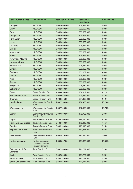| <b>Local Authority Area</b>     | <b>Pension Fund</b>                                                  | <b>Total Fund Amount</b> | <b>Fossil Fuel</b><br><b>Investment</b> | % Fossil Fuels |
|---------------------------------|----------------------------------------------------------------------|--------------------------|-----------------------------------------|----------------|
| Craigavon                       | <b>NILGOSC</b>                                                       | 5,060,000,000            | 206,662,000                             | 4.08%          |
| Derry                           | <b>NILGOSC</b>                                                       | 5,060,000,000            | 206,662,000                             | 4.08%          |
| Down                            | <b>NILGOSC</b>                                                       | 5,060,000,000            | 206,662,000                             | 4.08%          |
| Dungannon                       | <b>NILGOSC</b>                                                       | 5,060,000,000            | 206,662,000                             | 4.08%          |
| Fermanagh                       | <b>NILGOSC</b>                                                       | 5,060,000,000            | 206,662,000                             | 4.08%          |
| Larne                           | <b>NILGOSC</b>                                                       | 5,060,000,000            | 206,662,000                             | 4.08%          |
| Limavady                        | <b>NILGOSC</b>                                                       | 5,060,000,000            | 206,662,000                             | 4.08%          |
| Lisburn                         | <b>NILGOSC</b>                                                       | 5,060,000,000            | 206,662,000                             | 4.08%          |
| Magherafelt                     | <b>NILGOSC</b>                                                       | 5,060,000,000            | 206,662,000                             | 4.08%          |
| Moyle                           | <b>NILGOSC</b>                                                       | 5,060,000,000            | 206,662,000                             | 4.08%          |
| Newry and Mourne                | <b>NILGOSC</b>                                                       | 5,060,000,000            | 206,662,000                             | 4.08%          |
| Newtownabbey                    | <b>NILGOSC</b>                                                       | 5,060,000,000            | 206,662,000                             | 4.08%          |
| North Down                      | <b>NILGOSC</b>                                                       | 5,060,000,000            | 206,662,000                             | 4.08%          |
| Omagh                           | <b>NILGOSC</b>                                                       | 5,060,000,000            | 206,662,000                             | 4.08%          |
| Strabane                        | <b>NILGOSC</b>                                                       | 5,060,000,000            | 206,662,000                             | 4.08%          |
| Antrim                          | <b>NILGOSC</b>                                                       | 5,060,000,000            | 206,662,000                             | 4.08%          |
| Ards                            | <b>NILGOSC</b>                                                       | 5,060,000,000            | 206,662,000                             | 4.08%          |
| Armagh                          | <b>NILGOSC</b>                                                       | 5,060,000,000            | 206,662,000                             | 4.08%          |
| Ballymena                       | <b>NILGOSC</b>                                                       | 5,060,000,000            | 206,662,000                             | 4.08%          |
| Ballymoney                      | <b>NILGOSC</b>                                                       | 5,060,000,000            | 206,662,000                             | 4.08%          |
| <b>Essex</b>                    | <b>Essex Pension Fund</b>                                            | 4,964,655,000            | 204,359,000                             | 4.12%          |
| Southend-on-Sea                 | <b>Essex Pension Fund</b>                                            | 4,964,655,000            | 204,359,000                             | 4.12%          |
| Thurrock                        | <b>Essex Pension Fund</b>                                            | 4,964,655,000            | 204,359,000                             | 4.12%          |
| Herefordshire                   | <b>Worcestershire Pension</b><br>Fund                                | 1,837,753,000            | 197,423,000                             | 10.74%         |
| Worcestershire                  | Worcestershire Pension<br>Fund                                       | 1,837,753,000            | 197,423,000                             | 10.74%         |
| <b>Surrey</b>                   | <b>Surrey County Council</b><br><b>Pension Fund</b>                  | 2,807,500,000            | 176,765,000                             | 6.30%          |
| Angus                           | Tayside Pension Fund                                                 | 2,463,100,000            | 176,010,000                             | 7.15%          |
| Perthshire and Kinross          | <b>Tayside Pension Fund</b>                                          | 2,463,100,000            | 176,010,000                             | 7.15%          |
| <b>Dundee</b>                   | <b>Tayside Pension Fund</b>                                          | 2,463,100,000            | 176,010,000                             | 7.15%          |
| <b>Brighton and Hove</b>        | <b>East Sussex Pension</b><br>Fund                                   | 2,602,879,000            | 171,846,000                             | 6.60%          |
| <b>East Sussex</b>              | <b>East Sussex Pension</b><br>Fund                                   | 2,602,879,000            | 171,846,000                             | 6.60%          |
| Northamptonshire                | Northamptonshire<br><b>Local Government</b><br><b>Pension Scheme</b> | 1,659,847,000            | 171,800,000                             | 10.35%         |
| Bath and North East<br>Somerset | <b>Avon Pension Fund</b>                                             | 3,302,280,000            | 171,777,000                             | 5.20%          |
| <b>Bristol</b>                  | Avon Pension Fund                                                    | 3,302,280,000            | 171,777,000                             | 5.20%          |
| North Somerset                  | <b>Avon Pension Fund</b>                                             | 3,302,280,000            | 171,777,000                             | 5.20%          |
| South Gloucestershire           | Avon Pension Fund                                                    | 3,302,280,000            | 171,777,000                             | 5.20%          |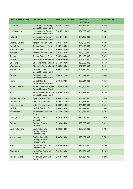| <b>Local Authority Area</b> | <b>Pension Fund</b>                                             | <b>Total Fund Amount</b> | <b>Fossil Fuel</b><br><b>Investment</b> | % Fossil Fuels |
|-----------------------------|-----------------------------------------------------------------|--------------------------|-----------------------------------------|----------------|
| Leicester                   | Leicestershire County<br><b>Council Pension Fund</b>            | 2,514,711,000            | 164,292,000                             | 6.53%          |
| Leicestershire              | Leicestershire County<br><b>Council Pension Fund</b>            | 2,514,711,000            | 164,292,000                             | 6.53%          |
| Rutland                     | Leicestershire County<br><b>Council Pension Fund</b>            | 2,514,711,000            | 164,292,000                             | 6.53%          |
| <b>Blaenau Gwent</b>        | <b>Torfaen Pension Fund</b>                                     | 2,062,483,000            | 161,193,000                             | 7.82%          |
| Caerphilly                  | <b>Torfaen Pension Fund</b>                                     | 2,062,483,000            | 161,193,000                             | 7.82%          |
| Monmouthshire               | <b>Torfaen Pension Fund</b>                                     | 2,062,483,000            | 161,193,000                             | 7.82%          |
| Newport                     | <b>Torfaen Pension Fund</b>                                     | 2,062,483,000            | 161,193,000                             | 7.82%          |
| Torfaen                     | <b>Torfaen Pension Fund</b>                                     | 2,062,483,000            | 161,193,000                             | 7.82%          |
| Halton                      | <b>Cheshire Pension Fund</b>                                    | 3,550,000,000            | 157,500,000                             | 4.44%          |
| Cheshire                    | <b>Cheshire Pension Fund</b>                                    | 3,550,000,000            | 157,500,000                             | 4.44%          |
| Warrington                  | <b>Cheshire Pension Fund</b>                                    | 3,550,000,000            | 157,500,000                             | 4.44%          |
| Bournemouth                 | <b>Dorset County</b><br><b>Council Pension Fund</b>             | 2,091,827,000            | 153,544,000                             | 7.34%          |
| <b>Dorset</b>               | <b>Dorset County</b><br><b>Council Pension Fund</b>             | 2,091,827,000            | 153,544,000                             | 7.34%          |
| Poole                       | <b>Dorset County</b><br><b>Council Pension Fund</b>             | 2,091,827,000            | 153,544,000                             | 7.34%          |
| North Yorkshire             | North Yorkshire County<br><b>Council Pension Fund</b>           | 2,078,026,000            | 149,227,000                             | 7.18%          |
| York                        | North Yorkshire County<br><b>Council Pension Fund</b>           | 2,078,026,000            | 149,227,000                             | 7.18%          |
| Carmarthenshire             | Dyfed Pension Fund                                              | 1,694,781,000            | 141,345,000                             | 8.34%          |
| Ceredigion                  | Dyfed Pension Fund                                              | 1,694,781,000            | 141,345,000                             | 8.34%          |
| Pembrokeshire               | <b>Dyfed Pension Fund</b>                                       | 1,694,781,000            | 141,345,000                             | 8.34%          |
| <b>Norfolk</b>              | Norfolk Pension Fund                                            | 2,644,730,000            | 140,844,000                             | 5.33%          |
| Hertfordshire               | <b>Hertfordshire Pension</b><br>Fund                            | 3,469,985,000            | 129,078,000                             | 3.72%          |
| Darlington                  | Durham County<br>Council                                        | 2,130,855,000            | 128,293,000                             | 6.02%          |
| Durham                      | <b>Durham County</b><br>Council                                 | 2,130,855,000            | 128,293,000                             | 6.02%          |
| Buckinghamshire             | Buckinghamshire<br><b>County Council</b><br><b>Pension Fund</b> | 1,896,306,000            | 128,107,000                             | 6.76%          |
| <b>Milton Keynes</b>        | Buckinghamshire<br><b>County Council</b><br><b>Pension Fund</b> | 1,896,306,000            | 128,107,000                             | 6.76%          |
| Moray                       | North East Scotland<br><b>Pension Fund</b>                      | 2,913,400,000            | 124,854,000                             | 4.29%          |
| Aberdeen                    | North East Scotland<br><b>Pension Fund</b>                      | 2,913,400,000            | 124,854,000                             | 4.29%          |
| Aberdeenshire               | North East Scotland<br>Pension Fund                             | 2,913,400,000            | 124,854,000                             | 4.29%          |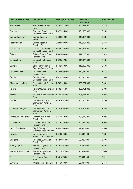| <b>Local Authority Area</b>  | <b>Pension Fund</b>                                      | <b>Total Fund Amount</b> | <b>Fossil Fuel</b><br><b>Investment</b> | % Fossil Fuels |
|------------------------------|----------------------------------------------------------|--------------------------|-----------------------------------------|----------------|
| <b>West Sussex</b>           | <b>West Sussex Pension</b><br>Fund                       | 2,290,454,000            | 121,547,000                             | 5.31%          |
| Somerset                     | <b>Somerset County</b><br><b>Council Pension Fund</b>    | 1,472,295,000            | 121,505,000                             | 8.25%          |
| Cambridgeshire               | Cambridgeshire<br><b>Pension Fund</b>                    | 2,238,809,000            | 119,964,000                             | 5.36%          |
| Peterborough                 | Cambridgeshire<br><b>Pension Fund</b>                    | 2,238,809,000            | 119,964,000                             | 5.36%          |
| Oxfordshire                  | <b>Oxfordshire County</b><br><b>Council Pension Fund</b> | 1,665,432,000            | 119,695,000                             | 7.19%          |
| <b>Suffolk</b>               | <b>Suffolk County Council</b><br><b>Pension Fund</b>     | 1,866,346,000            | 117,708,000                             | 6.31%          |
| Lincolnshire                 | <b>Lincolnshire Pension</b><br>Fund                      | 1,623,527,000            | 113,380,000                             | 6.98%          |
| Camden                       | London Borough of<br><b>Camden Pension Fund</b>          | 1,162,683,000            | 110,492,000                             | 9.50%          |
| Gloucestershire              | Gloucestershire<br><b>Pension Fund</b>                   | 1,506,000,000            | 110,050,000                             | 7.31%          |
| Cumbria                      | <b>Cumbria County</b><br><b>Council Pension Fund</b>     | 1,829,134,000            | 108,400,000                             | 5.93%          |
| Clackmannanshire             | <b>Falkirk Council Pension</b><br>Fund                   | 1,782,195,000            | 105,761,000                             | 5.93%          |
| Falkirk                      | <b>Falkirk Council Pension</b><br>Fund                   | 1,782,195,000            | 105,761,000                             | 5.93%          |
| Stirling                     | <b>Falkirk Council Pension</b><br>Fund                   | 1,782,195,000            | 105,761,000                             | 5.93%          |
| Cardiff                      | Cardiff and Vale of<br>Glamorgan Pension<br>Fund         | 1,451,692,000            | 105,306,000                             | 7.25%          |
| Vale of Glamorgan            | Cardiff and Vale of<br>Glamorgan Pension<br>Fund         | 1,451,692,000            | 105,306,000                             | 7.25%          |
| <b>Blackburn with Darwen</b> | Lancashire County<br><b>Pension Fund</b>                 | 5,372,370,000            | 101,940,000                             | 1.90%          |
| Lancashire                   | <b>Lancashire County</b><br><b>Pension Fund</b>          | 5,372,370,000            | 101,940,000                             | 1.90%          |
| Neath Port Talbot            | City & County of<br>Swansea Pension Fund                 | 1,348,965,000            | 99,503,000                              | 7.38%          |
| Swansea                      | City & County of<br>Swansea Pension Fund                 | 1,348,965,000            | 99,503,000                              | 7.38%          |
| <b>Bridgend</b>              | Rhondda Cynon Taf<br>Pension Fund                        | 1,727,894,000            | 98,322,000                              | 5.69%          |
| Merthyr Tydfil               | Rhondda Cynon Taf<br><b>Pension Fund</b>                 | 1,727,894,000            | 98,322,000                              | 5.69%          |
| Rhondda, Cynon, Taff         | Rhondda Cynon Taf<br><b>Pension Fund</b>                 | 1,727,894,000            | 98,322,000                              | 5.69%          |
| Fife                         | <b>Fife Council Pension</b><br>Fund                      | 1,831,973,000            | 95,394,000                              | 5.21%          |
| Swindon                      | <b>Wiltshire Pension Fund</b>                            | 1,516,333,000            | 92,707,000                              | 6.11%          |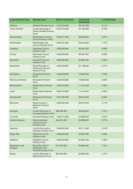| <b>Local Authority Area</b> | <b>Pension Fund</b>                                                 | <b>Total Fund Amount</b> | <b>Fossil Fuel</b><br><b>Investment</b> | % Fossil Fuels |
|-----------------------------|---------------------------------------------------------------------|--------------------------|-----------------------------------------|----------------|
| Wiltshire                   | <b>Wiltshire Pension Fund</b>                                       | 1,516,333,000            | 92,707,000                              | 6.11%          |
| <b>Tower Hamlets</b>        | London Borough of<br><b>Tower Hamlets Pension</b><br>Fund           | 1,047,073,000            | 91,764,000                              | 8.76%          |
| Warwickshire                | <b>Warwickshire County</b><br><b>Council Pension Fund</b>           | 1,520,471,000            | 88,368,000                              | 5.81%          |
| Westminster                 | <b>Westminster City</b><br><b>Council Pension Fund</b>              | 1,094,331,000            | 85,075,000                              | 7.77%          |
| Anglesey                    | <b>Gwynedd Council</b><br><b>Pension Fund</b>                       | 1,309,546,000            | 82,297,000                              | 6.28%          |
| Conwy                       | <b>Gwynedd Council</b><br><b>Pension Fund</b>                       | 1,309,546,000            | 82,297,000                              | 6.28%          |
| Gwynedd                     | <b>Gwynedd Council</b><br><b>Pension Fund</b>                       | 1,309,546,000            | 82,297,000                              | 6.28%          |
| Greenwich                   | Royal Borough of<br><b>Greenwich Council</b><br><b>Pension Fund</b> | 1,265,738,000            | 81,180,000                              | 6.41%          |
| Shropshire                  | <b>Shropshire Pension</b><br>Fund                                   | 1,339,203,000            | 73,863,000                              | 5.52%          |
| <b>Telford and Wrekin</b>   | <b>Shropshire Pension</b><br>Fund                                   | 1,339,203,000            | 73,863,000                              | 5.52%          |
| Bedfordshire                | <b>Bedfordshire Pension</b><br>Fund                                 | 1,538,134,000            | 71,014,000                              | 4.62%          |
| Luton                       | <b>Bedfordshire Pension</b><br>Fund                                 | 1,538,134,000            | 71,014,000                              | 4.62%          |
| Wandsworth                  | <b>Wandsworth Pension</b><br>Fund                                   | 1,054,186,000            | 69,623,000                              | 6.60%          |
| <b>Berkshire</b>            | Royal County of<br><b>Berkshire Pension</b><br>Fund                 | 1,620,500,000            | 66,570,000                              | 4.11%          |
| Haringey                    | London Borough of<br><b>Haringey Pension Fund</b>                   | 909,765,000              | 66,464,000                              | 7.31%          |
| Cornwall                    | <b>Cornwall Pension Fund</b>                                        | 1,408,716,000            | 64,909,000                              | 4.61%          |
| Northumberland              | Northumberland<br><b>County Council</b><br><b>Pension Fund</b>      | 944,221,000              | 63,889,000                              | 6.77%          |
| Hackney                     | London Borough of<br><b>Hackney Pension Fund</b>                    | 1,029,000,000            | 63,111,000                              | 6.13%          |
| Eilean Siar                 | <b>Highland Council</b><br><b>Pension Fund</b>                      | 1,268,000,000            | 60,897,000                              | 4.80%          |
| Highland                    | <b>Highland Council</b><br><b>Pension Fund</b>                      | 1,268,000,000            | 60,897,000                              | 4.80%          |
| Kensington and<br>Chelsea   | Royal Borough of<br>Kensington and<br><b>Chelsea Pension Fund</b>   | 817,492,000              | 60,850,000                              | 7.44%          |
| Ealing                      | London Borough of<br><b>Ealing Pension Fund</b>                     | 867,000,000              | 60,800,000                              | 7.01%          |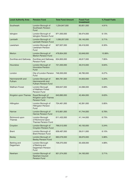| <b>Local Authority Area</b>    | <b>Pension Fund</b>                                                | <b>Total Fund Amount</b> | <b>Fossil Fuel</b><br><b>Investment</b> | % Fossil Fuels |
|--------------------------------|--------------------------------------------------------------------|--------------------------|-----------------------------------------|----------------|
| Southwark                      | London Borough of<br>Southwark Pension<br>Fund                     | 1,234,847,000            | 60,601,000                              | 4.91%          |
| Islington                      | London Borough of<br><b>Islington Pension Fund</b>                 | 971,000,000              | 59,474,000                              | 6.13%          |
| Lambeth                        | London Borough of<br><b>Lambeth Pension Fund</b>                   | 1,036,207,000            | 59,145,000                              | 5.71%          |
| Lewisham                       | London Borough of<br>Lewisham Pension<br>Fund                      | 927,937,000              | 58,419,000                              | 6.30%          |
| <b>Merton</b>                  | London Borough of<br><b>Merton Pension Fund</b>                    | 478,854,000              | 52,649,000                              | 10.99%         |
| Dumfries and Galloway          | <b>Dumfries and Galloway</b><br><b>Pension Fund</b>                | 634,800,000              | 49,817,000                              | 7.85%          |
| Hounslow                       | London Borough of<br><b>Hounslow Pension</b><br>Fund               | 721,000,000              | 49,310,000                              | 6.84%          |
| London                         | City of London Pension<br>Fund                                     | 746,300,000              | 46,780,000                              | 6.27%          |
| Hammersmith and<br>Fulham      | London Borough of<br>Hammersmith and<br><b>Fulham Pension Fund</b> | 864,781,000              | 44,933,000                              | 5.20%          |
| <b>Waltham Forest</b>          | London Borough<br>of Waltham Forest<br><b>Pension Fund</b>         | 659,647,000              | 44,096,000                              | 6.68%          |
| Kingston upon Thames           | Royal Borough of<br>Kingston upon Thames<br><b>Pension Fund</b>    | 640,890,000              | 42,464,000                              | 6.63%          |
| Hillingdon                     | London Borough of<br>Hillingdon Pension<br>Fund                    | 724,461,000              | 42,391,000                              | 5.85%          |
| Harrow                         | London Borough of<br><b>Harrow Pension Fund</b>                    | 615,661,000              | 41,744,000                              | 6.78%          |
| Richmond upon<br><b>Thames</b> | London Borough<br>of Richmond Upon<br><b>Thames Pension Fund</b>   | 611,432,000              | 41,144,000                              | 6.73%          |
| Croydon                        | London Borough of<br>Croydon Pension Fund                          | 766,512,000              | 40,150,000                              | 5.24%          |
| <b>Brent</b>                   | London Borough of<br><b>Brent Pension Fund</b>                     | 639,487,000              | 39,011,000                              | 6.10%          |
| <b>Bexley</b>                  | London Borough of<br><b>Bexley Pension Fund</b>                    | 660,079,000              | 38,670,000                              | 5.86%          |
| Barking and<br>Dagenham        | London Borough<br>of Barking and<br>Dagenham Pension<br>Fund       | 726,370,000              | 35,428,000                              | 4.88%          |
| Newham                         | London Borough of<br>Newham Council<br><b>Pension Fund</b>         | 921,574,000              | 34,193,000                              | 3.71%          |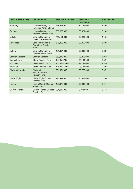| <b>Local Authority Area</b> | <b>Pension Fund</b>                                          | <b>Total Fund Amount</b> | <b>Fossil Fuel</b><br><b>Investment</b> | % Fossil Fuels |
|-----------------------------|--------------------------------------------------------------|--------------------------|-----------------------------------------|----------------|
| Havering                    | London Borough of<br><b>Havering Pension Fund</b>            | 468,397,000              | 34,159,000                              | 7.29%          |
| <b>Bromley</b>              | London Borough of<br><b>Bromley Pension Fund</b>             | 656,073,000              | 33,671,000                              | 5.13%          |
| Enfield                     | London Borough of<br><b>Enfield Pension Fund</b>             | 746,121,000              | 33,221,000                              | 4.45%          |
| Redbridge                   | London Borough of<br><b>Redbridge Pension</b><br><b>Fund</b> | 578,399,000              | 32,852,000                              | 5.68%          |
| Sutton                      | London Borough of<br><b>Sutton Pension Fund</b>              | 491,054,000              | 28,633,000                              | 5.83%          |
| <b>Scottish Borders</b>     | <b>Scottish Borders</b>                                      | 559,876,000              | 28,218,000                              | 5.04%          |
| Denbighshire                | <b>Clywd Pension Fund</b>                                    | 1,213,567,000            | 28,134,000                              | 2.32%          |
| Flintshire                  | <b>Clywd Pension Fund</b>                                    | 1,213,567,000            | 28,134,000                              | 2.32%          |
| Wrexham                     | <b>Clywd Pension Fund</b>                                    | 1,213,567,000            | 28,134,000                              | 2.32%          |
| <b>Shetland Islands</b>     | Shetland<br><b>Islands Council</b><br><b>Pension Fund</b>    | 331,954,000              | 26,778,000                              | 8.07%          |
| Isle of Wight               | Isle of Wight Council<br><b>Pension Fund</b>                 | 441,447,000              | 25,559,000                              | 5.79%          |
| Powys                       | Powys County Council<br><b>Pension Fund</b>                  | 463,873,000              | 23,233,000                              | 5.01%          |
| Orkney Islands              | <b>Orkney Islands Council</b><br><b>Pension Fund</b>         | 234,272,000              | 8,078,000                               | 3.45%          |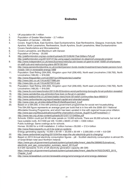## **Endnotes**

- 1. UK population 64.1 million
- 2. Population of Greater Manchester 2.7 million
- 3. Population of Camden 235,000
- 4. Covers Argyll & Bute, East Ayrshire, East Dunbartonshire, East Renfrewshire, Glasgow, Inverclyde, North Ayrshire, North Lanarkshire, Renfrewshire, South Ayrshire, South Lanarkshire, West Dunbartonshire
- 5. Covers Herefordshire and Worcestershire
- 6. Covers Lancashire, and Blackburn with Darwen
- 7. Population of Orkney 20,000
- 8. *<http://platformlondon.org/wp-content/uploads/2015/06/All-That-Glitters-Pdf.pdf> <http://platformlondon.org/2014/07/21/bp-using-egypt-crackdown-to-steamroll-unpopular-project/>*
- 9. *[http://www.independent.co.uk/news/business/news/bp-job-losses-oil-giant-to-brief-15000-uk-employees](http://www.independent.co.uk/news/business/news/bp-job-losses-oil-giant-to-brief-15000-uk-employees-on-staff-cuts-and-restructuring-plans-9979158.html)[on-staff-cuts-and-restructuring-plans-9979158.html](http://www.independent.co.uk/news/business/news/bp-job-losses-oil-giant-to-brief-15000-uk-employees-on-staff-cuts-and-restructuring-plans-9979158.html)*
- 10. *[http://www.pensionfundsonline.co.uk/content/pension-funds-insider/investment/manchester-pension-fund](http://www.pensionfundsonline.co.uk/content/pension-funds-insider/investment/manchester-pension-fund-invests-10m-in-renewable-energy/1899)[invests-10m-in-renewable-energy/1899](http://www.pensionfundsonline.co.uk/content/pension-funds-insider/investment/manchester-pension-fund-invests-10m-in-renewable-energy/1899)*
- 11. Population: East Riding (334,000), Kingston upon Hull (256,400), North east Lincolnshire (159,700), North Lincolnshire  $(169,20) = 919,300$
- 12. *<http://www.theguardian.com/uk/2007/jun/26/topstories3.weather> <http://news.bbc.co.uk/1/hi/uk/6277996.stm>*
- 13. *<http://news.bbc.co.uk/1/hi/uk/6272012.stm>*
- 14. Population: East Riding (334,000), Kingston upon Hull (256,400), North east Lincolnshire (159,700), North Lincolnshire  $(169,20) = 919,300$
- 15. *<http://www.itv.com/news/london/2013-09-03/londons-worst-performing-boroughs-for-air-pollution-revealed/>*
- 16. *<http://www.camdenfoe.org.uk/london/how-toxic-is-the-air-in-camden/>*
- 17. *<http://www.walesonline.co.uk/news/wales-news/more-50-welsh-communities-face-6693013>*
- 18. *<http://www.carbontracker.org/report/wasted-capital-and-stranded-assets/>*
- 19. *[http://www.cresc.ac.uk/sites/default/files/EnfieldExperiment\\_0.pdf](http://www.cresc.ac.uk/sites/default/files/EnfieldExperiment_0.pdf)*
- 20. Based on a £64,000, in line with previous government programmes for social rent housebuilding. This £64,000 figure represents an average grant per build that is in line with the 2008–2011 National Affordable Housing Programme, and which has been uprated in line with regional house price inflation. *[http://www.ippr.org/files/publications/pdf/the-chancellors-choices\\_Aug2015.pdf?noredirect=1](http://www.ippr.org/files/publications/pdf/the-chancellors-choices_Aug2015.pdf?noredirect=1) <http://www.nao.org.uk/wp-content/uploads/2012/07/1213465es.pdf>*
- 21. Schools: £300m could put 30 kW solar panels on 10,000 schools. There are 30,000 schools, but not all have suitable roofs. At £1000 per kW, 10,000 x 30kW x £1000 = £300 million Public buildings: Same costings as for schools. Homes: £6,000 for a 4 kW installation. 2 million homes x £6,000 = £12.4 billion *<http://www.theecoexperts.co.uk/4-kw-solar-pv-systems>* Energy generating capacity:  $10,000 \times 30$  kW  $+ 20,000 \times 30$  kW  $+ 2,000,000 \times 4$  kW  $= 8.9$  GW
- 22. *<http://www.carbonbrief.org/blog/2015/04/five-ways-the-uks-electricity-grid-is-changing/>* 23. Based on 2013 Annual electricity consumption figures – p8 – Scottish electricity consumption is almost 9% of Great Britain total (excl Northern Ireland) *[https://www.gov.uk/government/uploads/system/uploads/attachment\\_data/file/388960/Subnational\\_](https://www.gov.uk/government/uploads/system/uploads/attachment_data/file/388960/Subnational_electricity_and_gas_consumption_summary_report_2013.pdf) [electricity\\_and\\_gas\\_consumption\\_summary\\_report\\_2013.pdf](https://www.gov.uk/government/uploads/system/uploads/attachment_data/file/388960/Subnational_electricity_and_gas_consumption_summary_report_2013.pdf)* 8.9 GW represents 10.5% of UK electricity generation capacity (85 GW) *[https://www.gov.uk/government/uploads/system/uploads/attachment\\_data/file/447632/DUKES\\_2015\\_](https://www.gov.uk/government/uploads/system/uploads/attachment_data/file/447632/DUKES_2015_Chapter_5.pdf) [Chapter\\_5.pdf](https://www.gov.uk/government/uploads/system/uploads/attachment_data/file/447632/DUKES_2015_Chapter_5.pdf)*
- 24. *<http://www.renewableuk.com/en/renewable-energy/wind-energy/uk-wind-energy-database/>*